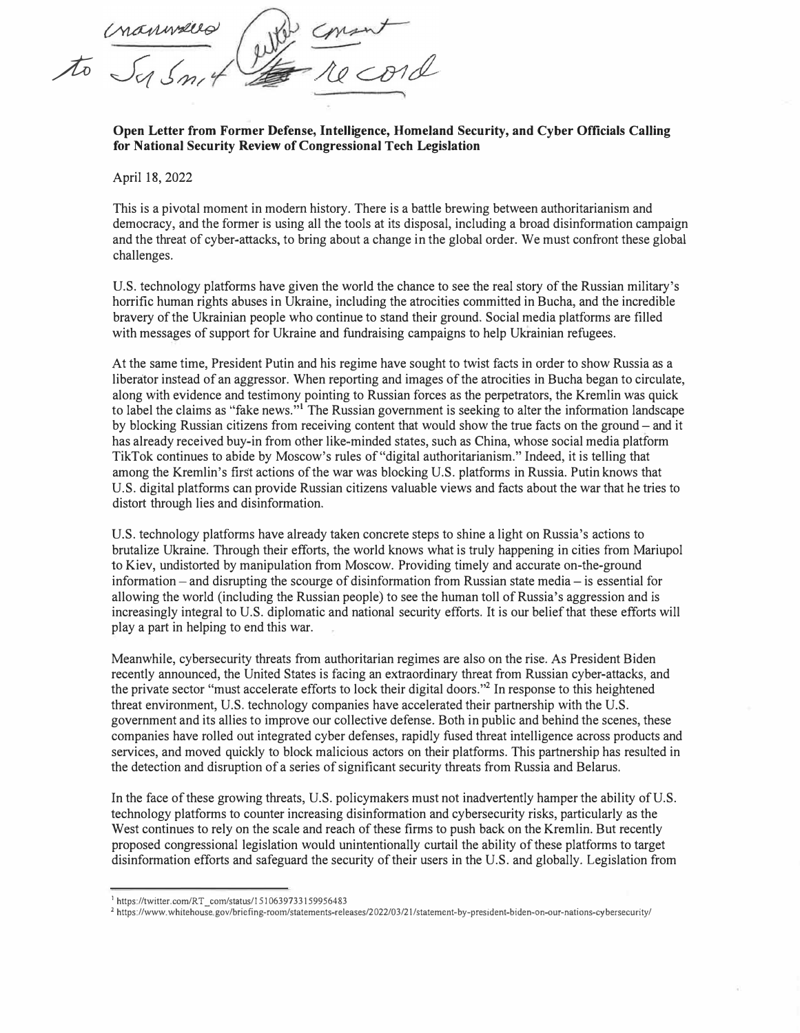*Inanviero* 

**Open Letter from Former Defense, Intelligence, Homeland Security, and Cyber Officials Calling for National Security Review of Congressional Tech Legislation** 

April 18, 2022

This is a pivotal moment in modern history. There is a battle brewing between authoritarianism and democracy, and the former is using all the tools at its disposal, including a broad disinformation campaign and the threat of cyber-attacks, to bring about a change in the global order. We must confront these global challenges.

U.S. technology platforms have given the world the chance to see the real story of the Russian military's horrific human rights abuses in Ukraine, including the atrocities committed in Bucha, and the incredible bravery of the Ukrainian people who continue to stand their ground. Social media platforms are filled with messages of support for Ukraine and fundraising campaigns to help Ukrainian refugees.

At the same time, President Putin and his regime have sought to twist facts in order to show Russia as a liberator instead of an aggressor. When reporting and images of the atrocities in Bucha began to circulate, along with evidence and testimony pointing to Russian forces as the perpetrators, the Kremlin was quick to label the claims as "fake news. " **<sup>1</sup>**The Russian government is seeking to alter the information landscape by blocking Russian citizens from receiving content that would show the true facts on the ground – and it has already received buy-in from other like-minded states, such as China, whose social media platform TikTok continues to abide by Moscow's rules of"digital authoritarianism." Indeed, it is telling that among the Kremlin's first actions of the war was blocking U.S. platforms in Russia. Putin knows that U.S. digital platforms can provide Russian citizens valuable views and facts about the war that he tries to distort through lies and disinformation.

U.S. technology platforms have already taken concrete steps to shine a light on Russia's actions to brutalize Ukraine. Through their efforts, the world knows what is truly happening in cities from Mariupol to Kiev, undistorted by manipulation from Moscow. Providing timely and accurate on-the-ground information  $-$  and disrupting the scourge of disinformation from Russian state media  $-$  is essential for allowing the world (including the Russian people) to see the human toll of Russia's aggression and is increasingly integral to U.S. diplomatic and national security efforts. It is our belief that these efforts will play a part in helping to end this war.

Meanwhile, cybersecurity threats from authoritarian regimes are also on the rise. As President Biden recently announced, the United States is facing an extraordinary threat from Russian cyber-attacks, and the private sector "must accelerate efforts to lock their digital doors."**<sup>2</sup>**In response to this heightened threat environment, U.S. technology companies have accelerated their partnership with the U.S. government and its allies to improve our collective defense. Both in public and behind the scenes, these companies have rolled out integrated cyber defenses, rapidly fused threat intelligence across products and services, and moved quickly to block malicious actors on their platforms. This partnership has resulted in the detection and disruption of a series of significant security threats from Russia and Belarus.

In the face of these growing threats, U.S. policymakers must not inadvertently hamper the ability of U.S. technology platforms to counter increasing disinformation and cybersecurity risks, particularly as the West continues to rely on the scale and reach of these firms to push back on the Kremlin. But recently proposed congressional legislation would unintentionally curtail the ability of these platforms to target disinformation efforts and safeguard the security of their users in the U.S. and globally. Legislation from

<sup>&</sup>lt;sup>1</sup> https://twitter.com/RT com/status/1510639733159956483

<sup>&</sup>lt;sup>2</sup>https://www.whitehouse.gov/briefing-room/statements-releases/2022/03/21/statement-by-president-biden-on-our-nations-cy bersecurity/